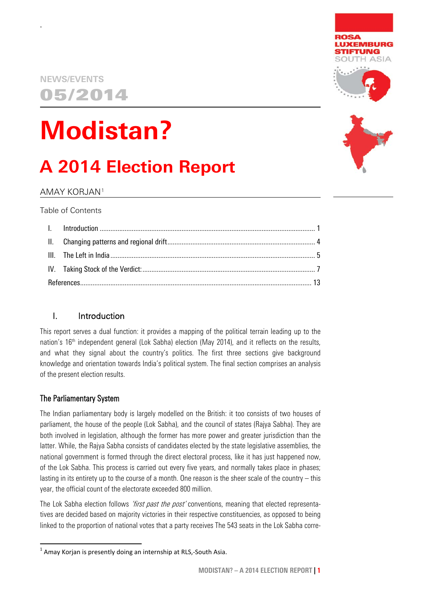### **NEWS/EVENTS** 05/2014

.

# **Modistan?**

## **A 2014 Election Report**

AMAY KORJAN[1](#page-0-1)

Table of Contents

#### <span id="page-0-0"></span>I. Introduction

This report serves a dual function: it provides a mapping of the political terrain leading up to the nation's  $16<sup>th</sup>$  independent general (Lok Sabha) election (May 2014), and it reflects on the results, and what they signal about the country's politics. The first three sections give background knowledge and orientation towards India's political system. The final section comprises an analysis of the present election results.

#### The Parliamentary System

The Indian parliamentary body is largely modelled on the British: it too consists of two houses of parliament, the house of the people (Lok Sabha), and the council of states (Rajya Sabha). They are both involved in legislation, although the former has more power and greater jurisdiction than the latter. While, the Rajya Sabha consists of candidates elected by the state legislative assemblies, the national government is formed through the direct electoral process, like it has just happened now, of the Lok Sabha. This process is carried out every five years, and normally takes place in phases; lasting in its entirety up to the course of a month. One reason is the sheer scale of the country – this year, the official count of the electorate exceeded 800 million.

The Lok Sabha election follows *'first past the post'* conventions, meaning that elected representatives are decided based on majority victories in their respective constituencies, as opposed to being linked to the proportion of national votes that a party receives The 543 seats in the Lok Sabha corre-





<span id="page-0-1"></span> $<sup>1</sup>$  Amay Korjan is presently doing an internship at RLS,-South Asia.</sup>  $\overline{a}$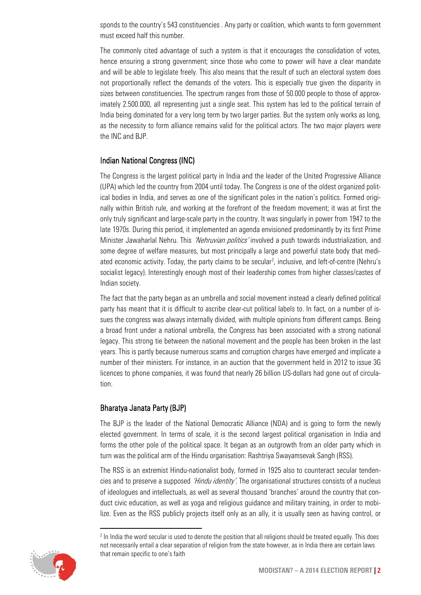sponds to the country's 543 constituencies . Any party or coalition, which wants to form government must exceed half this number.

The commonly cited advantage of such a system is that it encourages the consolidation of votes, hence ensuring a strong government; since those who come to power will have a clear mandate and will be able to legislate freely. This also means that the result of such an electoral system does not proportionally reflect the demands of the voters. This is especially true given the disparity in sizes between constituencies. The spectrum ranges from those of 50.000 people to those of approximately 2.500.000, all representing just a single seat. This system has led to the political terrain of India being dominated for a very long term by two larger parties. But the system only works as long, as the necessity to form alliance remains valid for the political actors. The two major players were the INC and BJP.

#### Indian National Congress (INC)

The Congress is the largest political party in India and the leader of the United Progressive Alliance (UPA) which led the country from 2004 until today. The Congress is one of the oldest organized political bodies in India, and serves as one of the significant poles in the nation's politics. Formed originally within British rule, and working at the forefront of the freedom movement; it was at first the only truly significant and large-scale party in the country. It was singularly in power from 1947 to the late 1970s. During this period, it implemented an agenda envisioned predominantly by its first Prime Minister Jawaharlal Nehru. This 'Nehruvian politics' involved a push towards industrialization, and some degree of welfare measures, but most principally a large and powerful state body that mediated economic activity. Today, the party claims to be secular<sup>2</sup>, inclusive, and left-of-centre (Nehru's socialist legacy). Interestingly enough most of their leadership comes from higher classes/castes of Indian society.

The fact that the party began as an umbrella and social movement instead a clearly defined political party has meant that it is difficult to ascribe clear-cut political labels to. In fact, on a number of issues the congress was always internally divided, with multiple opinions from different camps. Being a broad front under a national umbrella, the Congress has been associated with a strong national legacy. This strong tie between the national movement and the people has been broken in the last years. This is partly because numerous scams and corruption charges have emerged and implicate a number of their ministers. For instance, in an auction that the government held in 2012 to issue 3G licences to phone companies, it was found that nearly 26 billion US-dollars had gone out of circulation.

#### Bharatya Janata Party (BJP)

The BJP is the leader of the National Democratic Alliance (NDA) and is going to form the newly elected government. In terms of scale, it is the second largest political organisation in India and forms the other pole of the political space. It began as an outgrowth from an older party which in turn was the political arm of the Hindu organisation: Rashtriya Swayamsevak Sangh (RSS).

The RSS is an extremist Hindu-nationalist body, formed in 1925 also to counteract secular tendencies and to preserve a supposed *'Hindu identity'*. The organisational structures consists of a nucleus of ideologues and intellectuals, as well as several thousand 'branches' around the country that conduct civic education, as well as yoga and religious guidance and military training, in order to mobilize. Even as the RSS publicly projects itself only as an ally, it is usually seen as having control, or

<span id="page-1-0"></span><sup>&</sup>lt;sup>2</sup> In India the word secular is used to denote the position that all religions should be treated equally. This does not necessarily entail a clear separation of religion from the state however, as in India there are certain laws that remain specific to one's faith



**.**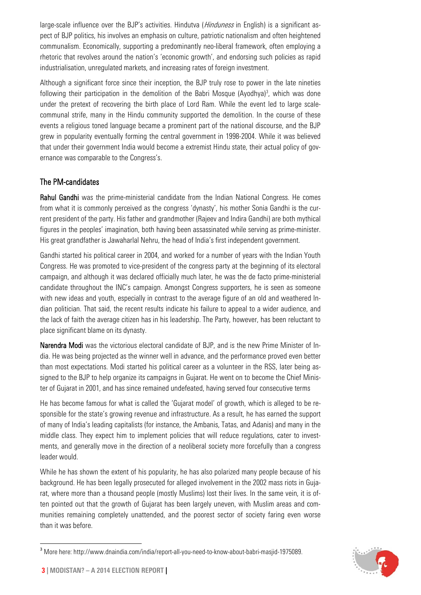large-scale influence over the BJP's activities. Hindutva (*Hinduness* in English) is a significant aspect of BJP politics, his involves an emphasis on culture, patriotic nationalism and often heightened communalism. Economically, supporting a predominantly neo-liberal framework, often employing a rhetoric that revolves around the nation's 'economic growth', and endorsing such policies as rapid industrialisation, unregulated markets, and increasing rates of foreign investment.

Although a significant force since their inception, the BJP truly rose to power in the late nineties following their participation in the demolition of the Babri Mosque (Ayodhya)<sup>[3](#page-2-0)</sup>, which was done under the pretext of recovering the birth place of Lord Ram. While the event led to large scalecommunal strife, many in the Hindu community supported the demolition. In the course of these events a religious toned language became a prominent part of the national discourse, and the BJP grew in popularity eventually forming the central government in 1998-2004. While it was believed that under their government India would become a extremist Hindu state, their actual policy of governance was comparable to the Congress's.

#### The PM-candidates

Rahul Gandhi was the prime-ministerial candidate from the Indian National Congress. He comes from what it is commonly perceived as the congress 'dynasty', his mother Sonia Gandhi is the current president of the party. His father and grandmother (Rajeev and Indira Gandhi) are both mythical figures in the peoples' imagination, both having been assassinated while serving as prime-minister. His great grandfather is Jawaharlal Nehru, the head of India's first independent government.

Gandhi started his political career in 2004, and worked for a number of years with the Indian Youth Congress. He was promoted to vice-president of the congress party at the beginning of its electoral campaign, and although it was declared officially much later, he was the de facto prime-ministerial candidate throughout the INC's campaign. Amongst Congress supporters, he is seen as someone with new ideas and youth, especially in contrast to the average figure of an old and weathered Indian politician. That said, the recent results indicate his failure to appeal to a wider audience, and the lack of faith the average citizen has in his leadership. The Party, however, has been reluctant to place significant blame on its dynasty.

Narendra Modi was the victorious electoral candidate of BJP, and is the new Prime Minister of India. He was being projected as the winner well in advance, and the performance proved even better than most expectations. Modi started his political career as a volunteer in the RSS, later being assigned to the BJP to help organize its campaigns in Gujarat. He went on to become the Chief Minister of Gujarat in 2001, and has since remained undefeated, having served four consecutive terms

He has become famous for what is called the 'Gujarat model' of growth, which is alleged to be responsible for the state's growing revenue and infrastructure. As a result, he has earned the support of many of India's leading capitalists (for instance, the Ambanis, Tatas, and Adanis) and many in the middle class. They expect him to implement policies that will reduce regulations, cater to investments, and generally move in the direction of a neoliberal society more forcefully than a congress leader would.

While he has shown the extent of his popularity, he has also polarized many people because of his background. He has been legally prosecuted for alleged involvement in the 2002 mass riots in Gujarat, where more than a thousand people (mostly Muslims) lost their lives. In the same vein, it is often pointed out that the growth of Gujarat has been largely uneven, with Muslim areas and communities remaining completely unattended, and the poorest sector of society faring even worse than it was before.



<span id="page-2-0"></span><sup>3</sup> More here: http://www.dnaindia.com/india/report-all-you-need-to-know-about-babri-masjid-1975089.  $\overline{a}$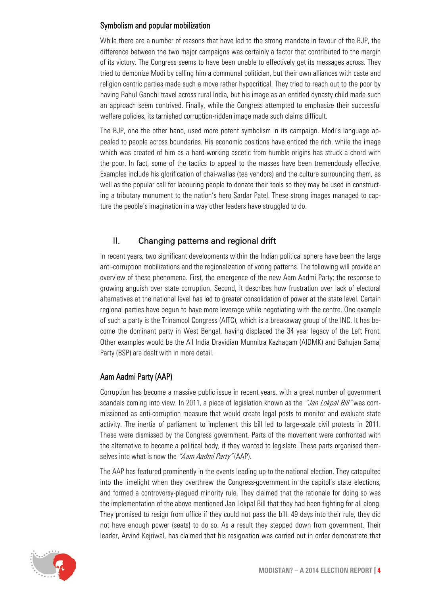#### Symbolism and popular mobilization

While there are a number of reasons that have led to the strong mandate in favour of the BJP, the difference between the two major campaigns was certainly a factor that contributed to the margin of its victory. The Congress seems to have been unable to effectively get its messages across. They tried to demonize Modi by calling him a communal politician, but their own alliances with caste and religion centric parties made such a move rather hypocritical. They tried to reach out to the poor by having Rahul Gandhi travel across rural India, but his image as an entitled dynasty child made such an approach seem contrived. Finally, while the Congress attempted to emphasize their successful welfare policies, its tarnished corruption-ridden image made such claims difficult.

The BJP, one the other hand, used more potent symbolism in its campaign. Modi's language appealed to people across boundaries. His economic positions have enticed the rich, while the image which was created of him as a hard-working ascetic from humble origins has struck a chord with the poor. In fact, some of the tactics to appeal to the masses have been tremendously effective. Examples include his glorification of chai-wallas (tea vendors) and the culture surrounding them, as well as the popular call for labouring people to donate their tools so they may be used in constructing a tributary monument to the nation's hero Sardar Patel. These strong images managed to capture the people's imagination in a way other leaders have struggled to do.

#### <span id="page-3-0"></span>II. Changing patterns and regional drift

In recent years, two significant developments within the Indian political sphere have been the large anti-corruption mobilizations and the regionalization of voting patterns. The following will provide an overview of these phenomena. First, the emergence of the new Aam Aadmi Party; the response to growing anguish over state corruption. Second, it describes how frustration over lack of electoral alternatives at the national level has led to greater consolidation of power at the state level. Certain regional parties have begun to have more leverage while negotiating with the centre. One example of such a party is the Trinamool Congress (AITC), which is a breakaway group of the INC. It has become the dominant party in West Bengal, having displaced the 34 year legacy of the Left Front. Other examples would be the All India Dravidian Munnitra Kazhagam (AIDMK) and Bahujan Samaj Party (BSP) are dealt with in more detail.

#### Aam Aadmi Party (AAP)

Corruption has become a massive public issue in recent years, with a great number of government scandals coming into view. In 2011, a piece of legislation known as the "Jan Lokpal Bill" was commissioned as anti-corruption measure that would create legal posts to monitor and evaluate state activity. The inertia of parliament to implement this bill led to large-scale civil protests in 2011. These were dismissed by the Congress government. Parts of the movement were confronted with the alternative to become a political body, if they wanted to legislate. These parts organised themselves into what is now the "Aam Aadmi Party" (AAP).

The AAP has featured prominently in the events leading up to the national election. They catapulted into the limelight when they overthrew the Congress-government in the capitol's state elections, and formed a controversy-plagued minority rule. They claimed that the rationale for doing so was the implementation of the above mentioned Jan Lokpal Bill that they had been fighting for all along. They promised to resign from office if they could not pass the bill. 49 days into their rule, they did not have enough power (seats) to do so. As a result they stepped down from government. Their leader, Arvind Kejriwal, has claimed that his resignation was carried out in order demonstrate that

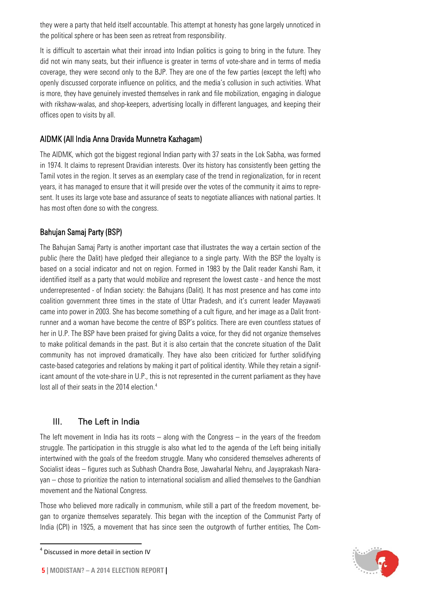they were a party that held itself accountable. This attempt at honesty has gone largely unnoticed in the political sphere or has been seen as retreat from responsibility.

It is difficult to ascertain what their inroad into Indian politics is going to bring in the future. They did not win many seats, but their influence is greater in terms of vote-share and in terms of media coverage, they were second only to the BJP. They are one of the few parties (except the left) who openly discussed corporate influence on politics, and the media's collusion in such activities. What is more, they have genuinely invested themselves in rank and file mobilization, engaging in dialogue with rikshaw-walas, and shop-keepers, advertising locally in different languages, and keeping their offices open to visits by all.

#### AIDMK [\(All India Anna Dravida Munnetra Kazhagam\)](http://en.wikipedia.org/wiki/All_India_Anna_Dravida_Munnetra_Kazhagam)

The AIDMK, which got the biggest regional Indian party with 37 seats in the Lok Sabha, was formed in 1974. It claims to represent Dravidian interests. Over its history has consistently been getting the Tamil votes in the region. It serves as an exemplary case of the trend in regionalization, for in recent years, it has managed to ensure that it will preside over the votes of the community it aims to represent. It uses its large vote base and assurance of seats to negotiate alliances with national parties. It has most often done so with the congress.

#### Bahujan Samaj Party (BSP)

The Bahujan Samaj Party is another important case that illustrates the way a certain section of the public (here the Dalit) have pledged their allegiance to a single party. With the BSP the loyalty is based on a social indicator and not on region. Formed in 1983 by the Dalit reader Kanshi Ram, it identified itself as a party that would mobilize and represent the lowest caste - and hence the most underrepresented - of Indian society: the Bahujans (Dalit). It has most presence and has come into coalition government three times in the state of Uttar Pradesh, and it's current leader Mayawati came into power in 2003. She has become something of a cult figure, and her image as a Dalit frontrunner and a woman have become the centre of BSP's politics. There are even countless statues of her in U.P. The BSP have been praised for giving Dalits a voice, for they did not organize themselves to make political demands in the past. But it is also certain that the concrete situation of the Dalit community has not improved dramatically. They have also been criticized for further solidifying caste-based categories and relations by making it part of political identity. While they retain a significant amount of the vote-share in U.P., this is not represented in the current parliament as they have lost all of their seats in the 201[4](#page-4-1) election.<sup>4</sup>

#### <span id="page-4-0"></span>III. The Left in India

The left movement in India has its roots  $-$  along with the Congress  $-$  in the years of the freedom struggle. The participation in this struggle is also what led to the agenda of the Left being initially intertwined with the goals of the freedom struggle. Many who considered themselves adherents of Socialist ideas – figures such as Subhash Chandra Bose, Jawaharlal Nehru, and Jayaprakash Narayan – chose to prioritize the nation to international socialism and allied themselves to the Gandhian movement and the National Congress.

Those who believed more radically in communism, while still a part of the freedom movement, began to organize themselves separately. This began with the inception of the Communist Party of India (CPI) in 1925, a movement that has since seen the outgrowth of further entities, The Com-



 $\overline{a}$ 

<span id="page-4-1"></span><sup>4</sup> Discussed in more detail in section IV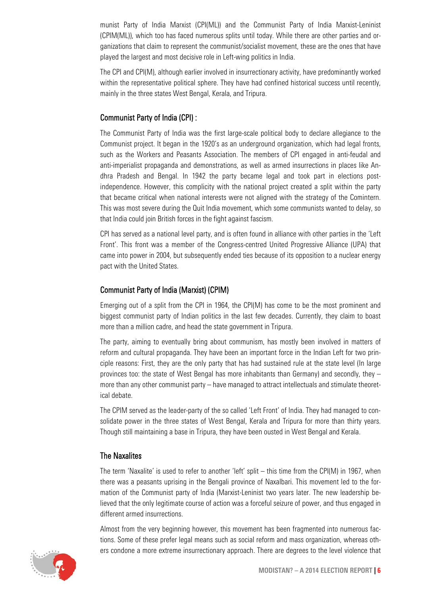munist Party of India Marxist (CPI(ML)) and the Communist Party of India Marxist-Leninist (CPIM(ML)), which too has faced numerous splits until today. While there are other parties and organizations that claim to represent the communist/socialist movement, these are the ones that have played the largest and most decisive role in Left-wing politics in India.

The CPI and CPI(M), although earlier involved in insurrectionary activity, have predominantly worked within the representative political sphere. They have had confined historical success until recently, mainly in the three states West Bengal, Kerala, and Tripura.

#### Communist Party of India (CPI) :

The Communist Party of India was the first large-scale political body to declare allegiance to the Communist project. It began in the 1920's as an underground organization, which had legal fronts, such as the Workers and Peasants Association. The members of CPI engaged in anti-feudal and anti-imperialist propaganda and demonstrations, as well as armed insurrections in places like Andhra Pradesh and Bengal. In 1942 the party became legal and took part in elections postindependence. However, this complicity with the national project created a split within the party that became critical when national interests were not aligned with the strategy of the Comintern. This was most severe during the Quit India movement, which some communists wanted to delay, so that India could join British forces in the fight against fascism.

CPI has served as a national level party, and is often found in alliance with other parties in the 'Left Front'. This front was a member of the Congress-centred United Progressive Alliance (UPA) that came into power in 2004, but subsequently ended ties because of its opposition to a nuclear energy pact with the United States.

#### Communist Party of India (Marxist) (CPIM)

Emerging out of a split from the CPI in 1964, the CPI(M) has come to be the most prominent and biggest communist party of Indian politics in the last few decades. Currently, they claim to boast more than a million cadre, and head the state government in Tripura.

The party, aiming to eventually bring about communism, has mostly been involved in matters of reform and cultural propaganda. They have been an important force in the Indian Left for two principle reasons: First, they are the only party that has had sustained rule at the state level (In large provinces too: the state of West Bengal has more inhabitants than Germany) and secondly, they – more than any other communist party – have managed to attract intellectuals and stimulate theoretical debate.

The CPIM served as the leader-party of the so called 'Left Front' of India. They had managed to consolidate power in the three states of West Bengal, Kerala and Tripura for more than thirty years. Though still maintaining a base in Tripura, they have been ousted in West Bengal and Kerala.

#### The Naxalites

The term 'Naxalite' is used to refer to another 'left' split – this time from the CPI(M) in 1967, when there was a peasants uprising in the Bengali province of Naxalbari. This movement led to the formation of the Communist party of India (Marxist-Leninist two years later. The new leadership believed that the only legitimate course of action was a forceful seizure of power, and thus engaged in different armed insurrections.

Almost from the very beginning however, this movement has been fragmented into numerous factions. Some of these prefer legal means such as social reform and mass organization, whereas others condone a more extreme insurrectionary approach. There are degrees to the level violence that

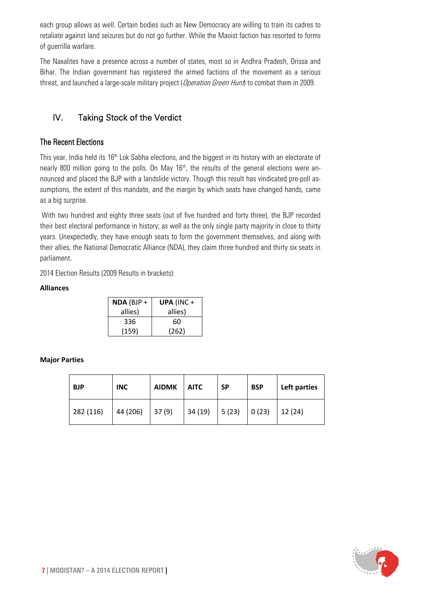each group allows as well. Certain bodies such as New Democracy are willing to train its cadres to retaliate against land seizures but do not go further. While the Maoist faction has resorted to forms of guerrilla warfare.

The Naxalites have a presence across a number of states, most so in Andhra Pradesh, Orissa and Bihar. The Indian government has registered the armed factions of the movement as a serious threat, and launched a large-scale military project (*Operation Green Hunt*) to combat them in 2009.

#### <span id="page-6-0"></span>IV. Taking Stock of the Verdict

#### The Recent Elections

This year, India held its 16<sup>th</sup> Lok Sabha elections, and the biggest in its history with an electorate of nearly 800 million going to the polls. On May 16<sup>th</sup>, the results of the general elections were announced and placed the BJP with a landslide victory. Though this result has vindicated pre-poll assumptions, the extent of this mandate, and the margin by which seats have changed hands, came as a big surprise.

With two hundred and eighty three seats (out of five hundred and forty three), the BJP recorded their best electoral performance in history; as well as the only single party majority in close to thirty years. Unexpectedly, they have enough seats to form the government themselves, and along with their allies, the National Democratic Alliance (NDA), they claim three hundred and thirty six seats in parliament.

2014 Election Results (2009 Results in brackets):

#### **Alliances**

| $NDA(BJP +$ | UPA (INC+ |
|-------------|-----------|
| allies)     | allies)   |
| 336         | 60        |
| (159)       | (262)     |

#### **Major Parties**

| <b>BJP</b> | <b>INC</b> | <b>AIDMK</b> | <b>AITC</b> | <b>SP</b> | <b>BSP</b> | Left parties |
|------------|------------|--------------|-------------|-----------|------------|--------------|
| 282 (116)  | 44 (206)   | 37(9)        | 34(19)      | 5(23)     | 0(23)      | 12(24)       |

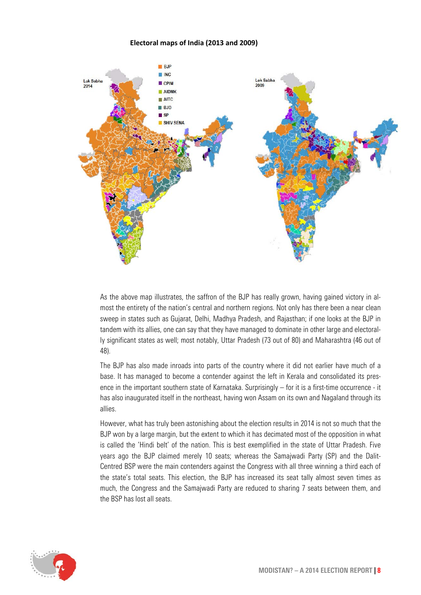#### **Electoral maps of India (2013 and 2009)**



As the above map illustrates, the saffron of the BJP has really grown, having gained victory in almost the entirety of the nation's central and northern regions. Not only has there been a near clean sweep in states such as Gujarat, Delhi, Madhya Pradesh, and Rajasthan; if one looks at the BJP in tandem with its allies, one can say that they have managed to dominate in other large and electorally significant states as well; most notably, Uttar Pradesh (73 out of 80) and Maharashtra (46 out of 48).

The BJP has also made inroads into parts of the country where it did not earlier have much of a base. It has managed to become a contender against the left in Kerala and consolidated its presence in the important southern state of Karnataka. Surprisingly – for it is a first-time occurrence - it has also inaugurated itself in the northeast, having won Assam on its own and Nagaland through its allies.

However, what has truly been astonishing about the election results in 2014 is not so much that the BJP won by a large margin, but the extent to which it has decimated most of the opposition in what is called the 'Hindi belt' of the nation. This is best exemplified in the state of Uttar Pradesh. Five years ago the BJP claimed merely 10 seats; whereas the Samajwadi Party (SP) and the Dalit-Centred BSP were the main contenders against the Congress with all three winning a third each of the state's total seats. This election, the BJP has increased its seat tally almost seven times as much, the Congress and the Samajwadi Party are reduced to sharing 7 seats between them, and the BSP has lost all seats.

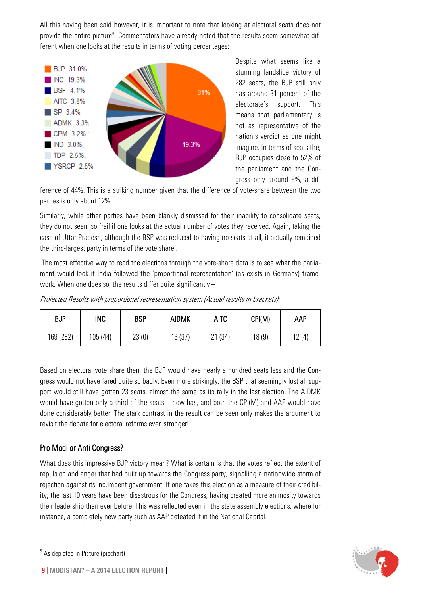All this having been said however, it is important to note that looking at electoral seats does not provide the entire picture<sup>[5](#page-8-0)</sup>. Commentators have already noted that the results seem somewhat different when one looks at the results in terms of voting percentages:



Despite what seems like a stunning landslide victory of 282 seats, the BJP still only has around 31 percent of the electorate's support. This means that parliamentary is not as representative of the nation's verdict as one might imagine. In terms of seats the, BJP occupies close to 52% of the parliament and the Congress only around 8%, a dif-

ference of 44%. This is a striking number given that the difference of vote-share between the two parties is only about 12%.

Similarly, while other parties have been blankly dismissed for their inability to consolidate seats, they do not seem so frail if one looks at the actual number of votes they received. Again, taking the case of Uttar Pradesh, although the BSP was reduced to having no seats at all, it actually remained the third-largest party in terms of the vote share..

The most effective way to read the elections through the vote-share data is to see what the parliament would look if India followed the 'proportional representation' (as exists in Germany) framework. When one does so, the results differ quite significantly –

Projected Results with proportional representation system (Actual results in brackets):

| <b>BJP</b> | INC     | <b>BSP</b> | <b>AIDMK</b> | AITC   | CPI(M) | AAP    |
|------------|---------|------------|--------------|--------|--------|--------|
| 169 (282)  | 105(44) | 23(0)      | 13 (37)      | 21(34) | 18(9)  | 12 (4) |

Based on electoral vote share then, the BJP would have nearly a hundred seats less and the Congress would not have fared quite so badly. Even more strikingly, the BSP that seemingly lost all support would still have gotten 23 seats, almost the same as its tally in the last election. The AIDMK would have gotten only a third of the seats it now has, and both the CPI(M) and AAP would have done considerably better. The stark contrast in the result can be seen only makes the argument to revisit the debate for electoral reforms even stronger!

#### Pro Modi or Anti Congress?

What does this impressive BJP victory mean? What is certain is that the votes reflect the extent of repulsion and anger that had built up towards the Congress party, signalling a nationwide storm of rejection against its incumbent government. If one takes this election as a measure of their credibility, the last 10 years have been disastrous for the Congress, having created more animosity towards their leadership than ever before. This was reflected even in the state assembly elections, where for instance, a completely new party such as AAP defeated it in the National Capital.



**.** 

<span id="page-8-0"></span><sup>5</sup> As depicted in Picture (piechart)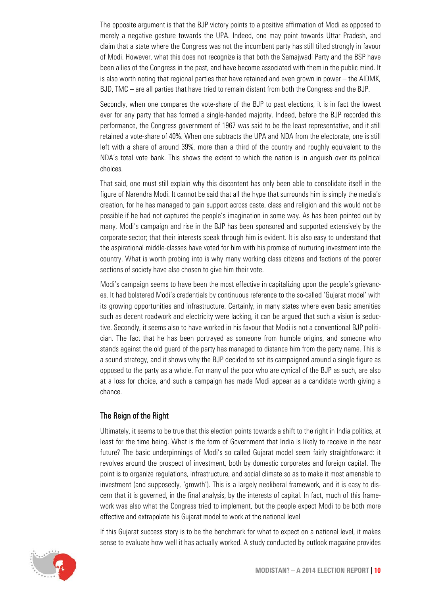The opposite argument is that the BJP victory points to a positive affirmation of Modi as opposed to merely a negative gesture towards the UPA. Indeed, one may point towards Uttar Pradesh, and claim that a state where the Congress was not the incumbent party has still tilted strongly in favour of Modi. However, what this does not recognize is that both the Samajwadi Party and the BSP have been allies of the Congress in the past, and have become associated with them in the public mind. It is also worth noting that regional parties that have retained and even grown in power – the AIDMK, BJD, TMC – are all parties that have tried to remain distant from both the Congress and the BJP.

Secondly, when one compares the vote-share of the BJP to past elections, it is in fact the lowest ever for any party that has formed a single-handed majority. Indeed, before the BJP recorded this performance, the Congress government of 1967 was said to be the least representative, and it still retained a vote-share of 40%. When one subtracts the UPA and NDA from the electorate, one is still left with a share of around 39%, more than a third of the country and roughly equivalent to the NDA's total vote bank. This shows the extent to which the nation is in anguish over its political choices.

That said, one must still explain why this discontent has only been able to consolidate itself in the figure of Narendra Modi. It cannot be said that all the hype that surrounds him is simply the media's creation, for he has managed to gain support across caste, class and religion and this would not be possible if he had not captured the people's imagination in some way. As has been pointed out by many, Modi's campaign and rise in the BJP has been sponsored and supported extensively by the corporate sector; that their interests speak through him is evident. It is also easy to understand that the aspirational middle-classes have voted for him with his promise of nurturing investment into the country. What is worth probing into is why many working class citizens and factions of the poorer sections of society have also chosen to give him their vote.

Modi's campaign seems to have been the most effective in capitalizing upon the people's grievances. It had bolstered Modi's credentials by continuous reference to the so-called 'Gujarat model' with its growing opportunities and infrastructure. Certainly, in many states where even basic amenities such as decent roadwork and electricity were lacking, it can be argued that such a vision is seductive. Secondly, it seems also to have worked in his favour that Modi is not a conventional BJP politician. The fact that he has been portrayed as someone from humble origins, and someone who stands against the old guard of the party has managed to distance him from the party name. This is a sound strategy, and it shows why the BJP decided to set its campaigned around a single figure as opposed to the party as a whole. For many of the poor who are cynical of the BJP as such, are also at a loss for choice, and such a campaign has made Modi appear as a candidate worth giving a chance.

#### The Reign of the Right

Ultimately, it seems to be true that this election points towards a shift to the right in India politics, at least for the time being. What is the form of Government that India is likely to receive in the near future? The basic underpinnings of Modi's so called Gujarat model seem fairly straightforward: it revolves around the prospect of investment, both by domestic corporates and foreign capital. The point is to organize regulations, infrastructure, and social climate so as to make it most amenable to investment (and supposedly, 'growth'). This is a largely neoliberal framework, and it is easy to discern that it is governed, in the final analysis, by the interests of capital. In fact, much of this framework was also what the Congress tried to implement, but the people expect Modi to be both more effective and extrapolate his Gujarat model to work at the national level

If this Gujarat success story is to be the benchmark for what to expect on a national level, it makes sense to evaluate how well it has actually worked. A study conducted by outlook magazine provides

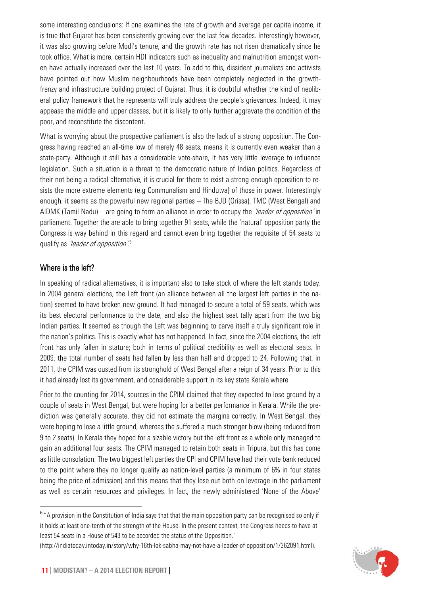some interesting conclusions: If one examines the rate of growth and average per capita income, it is true that Gujarat has been consistently growing over the last few decades. Interestingly however, it was also growing before Modi's tenure, and the growth rate has not risen dramatically since he took office. What is more, certain HDI indicators such as inequality and malnutrition amongst women have actually increased over the last 10 years. To add to this, dissident journalists and activists have pointed out how Muslim neighbourhoods have been completely neglected in the growthfrenzy and infrastructure building project of Gujarat. Thus, it is doubtful whether the kind of neoliberal policy framework that he represents will truly address the people's grievances. Indeed, it may appease the middle and upper classes, but it is likely to only further aggravate the condition of the poor, and reconstitute the discontent.

What is worrying about the prospective parliament is also the lack of a strong opposition. The Congress having reached an all-time low of merely 48 seats, means it is currently even weaker than a state-party. Although it still has a considerable vote-share, it has very little leverage to influence legislation. Such a situation is a threat to the democratic nature of Indian politics. Regardless of their not being a radical alternative, it is crucial for there to exist a strong enough opposition to resists the more extreme elements (e.g Communalism and Hindutva) of those in power. Interestingly enough, it seems as the powerful new regional parties – The BJD (Orissa), TMC (West Bengal) and AIDMK (Tamil Nadu) – are going to form an alliance in order to occupy the *'leader of opposition'* in parliament. Together the are able to bring together 91 seats, while the 'natural' opposition party the Congress is way behind in this regard and cannot even bring together the requisite of 54 seats to qualify as *'leader of opposition'.*<sup>[6](#page-10-0)</sup>

#### Where is the left?

 $\overline{a}$ 

In speaking of radical alternatives, it is important also to take stock of where the left stands today. In 2004 general elections, the Left front (an alliance between all the largest left parties in the nation) seemed to have broken new ground. It had managed to secure a total of 59 seats, which was its best electoral performance to the date, and also the highest seat tally apart from the two big Indian parties. It seemed as though the Left was beginning to carve itself a truly significant role in the nation's politics. This is exactly what has not happened. In fact, since the 2004 elections, the left front has only fallen in stature; both in terms of political credibility as well as electoral seats. In 2009, the total number of seats had fallen by less than half and dropped to 24. Following that, in 2011, the CPIM was ousted from its stronghold of West Bengal after a reign of 34 years. Prior to this it had already lost its government, and considerable support in its key state Kerala where

Prior to the counting for 2014, sources in the CPIM claimed that they expected to lose ground by a couple of seats in West Bengal, but were hoping for a better performance in Kerala. While the prediction was generally accurate, they did not estimate the margins correctly. In West Bengal, they were hoping to lose a little ground, whereas the suffered a much stronger blow (being reduced from 9 to 2 seats). In Kerala they hoped for a sizable victory but the left front as a whole only managed to gain an additional four seats. The CPIM managed to retain both seats in Tripura, but this has come as little consolation. The two biggest left parties the CPI and CPIM have had their vote bank reduced to the point where they no longer qualify as nation-level parties (a minimum of 6% in four states being the price of admission) and this means that they lose out both on leverage in the parliament as well as certain resources and privileges. In fact, the newly administered 'None of the Above'



<span id="page-10-0"></span><sup>6</sup> "A provision in the Constitution of India says that that the main opposition party can be recognised so only if it holds at least one-tenth of the strength of the House. In the present context, the Congress needs to have at least 54 seats in a House of 543 to be accorded the status of the Opposition."

[<sup>\(</sup>http://indiatoday.intoday.in/story/why-16th-lok-sabha-may-not-have-a-leader-of-opposition/1/362091.html\)](http://indiatoday.intoday.in/story/why-16th-lok-sabha-may-not-have-a-leader-of-opposition/1/362091.html).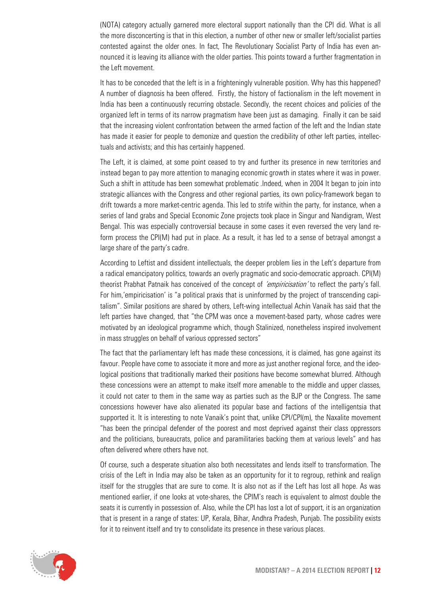(NOTA) category actually garnered more electoral support nationally than the CPI did. What is all the more disconcerting is that in this election, a number of other new or smaller left/socialist parties contested against the older ones. In fact, The Revolutionary Socialist Party of India has even announced it is leaving its alliance with the older parties. This points toward a further fragmentation in the Left movement.

It has to be conceded that the left is in a frighteningly vulnerable position. Why has this happened? A number of diagnosis ha been offered. Firstly, the history of factionalism in the left movement in India has been a continuously recurring obstacle. Secondly, the recent choices and policies of the organized left in terms of its narrow pragmatism have been just as damaging. Finally it can be said that the increasing violent confrontation between the armed faction of the left and the Indian state has made it easier for people to demonize and question the credibility of other left parties, intellectuals and activists; and this has certainly happened.

The Left, it is claimed, at some point ceased to try and further its presence in new territories and instead began to pay more attention to managing economic growth in states where it was in power. Such a shift in attitude has been somewhat problematic .Indeed, when in 2004 It began to join into strategic alliances with the Congress and other regional parties, its own policy-framework began to drift towards a more market-centric agenda. This led to strife within the party, for instance, when a series of land grabs and Special Economic Zone projects took place in Singur and Nandigram, West Bengal. This was especially controversial because in some cases it even reversed the very land reform process the CPI(M) had put in place. As a result, it has led to a sense of betrayal amongst a large share of the party's cadre.

According to Leftist and dissident intellectuals, the deeper problem lies in the Left's departure from a radical emancipatory politics, towards an overly pragmatic and socio-democratic approach. CPI(M) theorist Prabhat Patnaik has conceived of the concept of *'empiricisation'* to reflect the party's fall. For him,'empiricisation' is "a political praxis that is uninformed by the project of transcending capitalism". Similar positions are shared by others, Left-wing intellectual Achin Vanaik has said that the left parties have changed, that "the CPM was once a movement-based party, whose cadres were motivated by an ideological programme which, though Stalinized, nonetheless inspired involvement in mass struggles on behalf of various oppressed sectors"

The fact that the parliamentary left has made these concessions, it is claimed, has gone against its favour. People have come to associate it more and more as just another regional force, and the ideological positions that traditionally marked their positions have become somewhat blurred. Although these concessions were an attempt to make itself more amenable to the middle and upper classes, it could not cater to them in the same way as parties such as the BJP or the Congress. The same concessions however have also alienated its popular base and factions of the intelligentsia that supported it. It is interesting to note Vanaik's point that, unlike CPI/CPI(m), the Naxalite movement "has been the principal defender of the poorest and most deprived against their class oppressors and the politicians, bureaucrats, police and paramilitaries backing them at various levels" and has often delivered where others have not.

Of course, such a desperate situation also both necessitates and lends itself to transformation. The crisis of the Left in India may also be taken as an opportunity for it to regroup, rethink and realign itself for the struggles that are sure to come. It is also not as if the Left has lost all hope. As was mentioned earlier, if one looks at vote-shares, the CPIM's reach is equivalent to almost double the seats it is currently in possession of. Also, while the CPI has lost a lot of support, it is an organization that is present in a range of states: UP, Kerala, Bihar, Andhra Pradesh, Punjab. The possibility exists for it to reinvent itself and try to consolidate its presence in these various places.

<span id="page-11-0"></span>